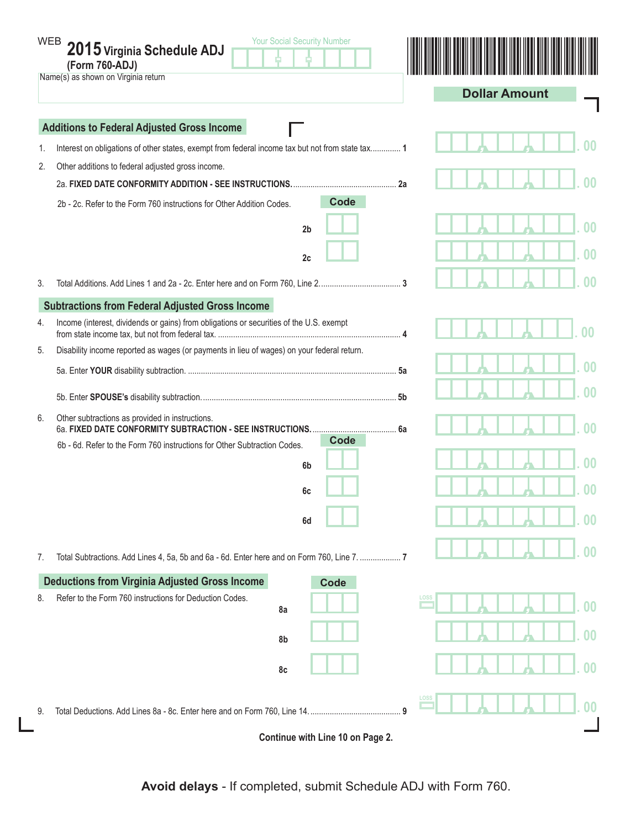| <b>WEB</b>                                        | <b>Your Social Security Number</b><br>2015 Virginia Schedule ADJ<br>(Form 760-ADJ)<br>Name(s) as shown on Virginia return | <b>Dollar Amount</b>      |  |  |  |  |  |
|---------------------------------------------------|---------------------------------------------------------------------------------------------------------------------------|---------------------------|--|--|--|--|--|
| <b>Additions to Federal Adjusted Gross Income</b> |                                                                                                                           |                           |  |  |  |  |  |
| 1.                                                | Interest on obligations of other states, exempt from federal income tax but not from state tax 1                          |                           |  |  |  |  |  |
| 2.                                                | Other additions to federal adjusted gross income.                                                                         |                           |  |  |  |  |  |
|                                                   | 2a                                                                                                                        |                           |  |  |  |  |  |
|                                                   | <b>Code</b><br>2b - 2c. Refer to the Form 760 instructions for Other Addition Codes.                                      |                           |  |  |  |  |  |
|                                                   | 2 <sub>b</sub>                                                                                                            | 00                        |  |  |  |  |  |
|                                                   | 2c                                                                                                                        | 0 <sub>0</sub>            |  |  |  |  |  |
| 3.                                                |                                                                                                                           |                           |  |  |  |  |  |
|                                                   | <b>Subtractions from Federal Adjusted Gross Income</b>                                                                    |                           |  |  |  |  |  |
| 4.                                                | Income (interest, dividends or gains) from obligations or securities of the U.S. exempt                                   |                           |  |  |  |  |  |
| 5.                                                | Disability income reported as wages (or payments in lieu of wages) on your federal return.                                |                           |  |  |  |  |  |
|                                                   |                                                                                                                           | $00 \,$                   |  |  |  |  |  |
|                                                   |                                                                                                                           | 00                        |  |  |  |  |  |
| 6.                                                | Other subtractions as provided in instructions.                                                                           |                           |  |  |  |  |  |
|                                                   | Code<br>6b - 6d. Refer to the Form 760 instructions for Other Subtraction Codes.                                          |                           |  |  |  |  |  |
|                                                   | 6 <sub>b</sub>                                                                                                            |                           |  |  |  |  |  |
|                                                   | 6c                                                                                                                        | m                         |  |  |  |  |  |
|                                                   | 6d                                                                                                                        | 00                        |  |  |  |  |  |
| 7.                                                | Total Subtractions. Add Lines 4, 5a, 5b and 6a - 6d. Enter here and on Form 760, Line 7.  7                               | $\boldsymbol{00}$         |  |  |  |  |  |
|                                                   | <b>Deductions from Virginia Adjusted Gross Income</b><br>Code                                                             |                           |  |  |  |  |  |
| 8.                                                | Refer to the Form 760 instructions for Deduction Codes.<br>8a                                                             | LOSS<br>$00\,$            |  |  |  |  |  |
|                                                   | 8b                                                                                                                        | $\boldsymbol{00}$         |  |  |  |  |  |
|                                                   | 8c                                                                                                                        | 00                        |  |  |  |  |  |
| 9.                                                |                                                                                                                           | LOSS<br>$\boldsymbol{00}$ |  |  |  |  |  |
|                                                   | Continue with Line 10 on Page 2.                                                                                          |                           |  |  |  |  |  |

 $\mathbf{L}$